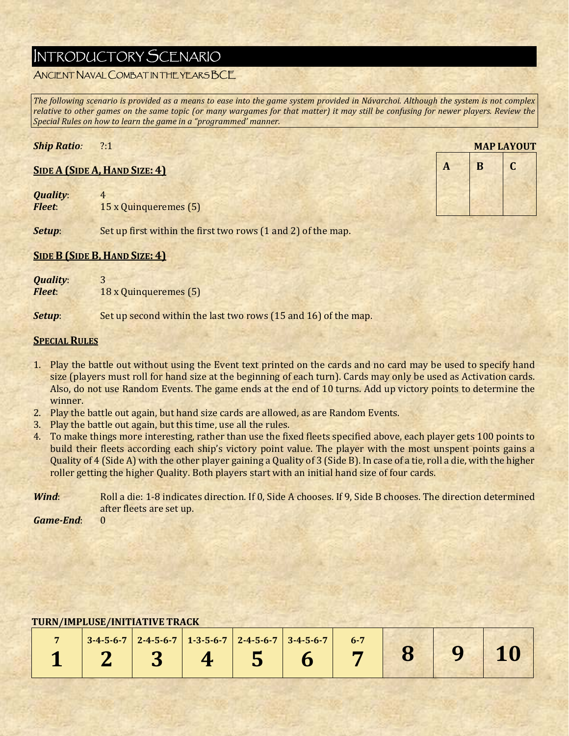# INTRODUCTORY SCENARIO

# ANCIENT NAVAL COMBAT IN THE YEARS BCE

The following scenario is provided as a means to ease into the game system provided in Návarchoi. Although the system is not complex relative to other games on the same topic (or many wargames for that matter) it may still be confusing for newer players. Review the *Special Rules on how to learn the game in a "programmed' manner.*

### *Ship Ratio:* ?:1

#### **SIDE A (SIDE A, HAND SIZE: 4)**

*Quality*: 4 *Fleet*: **15** x Quinqueremes (5)

|   |   | <b>MAP LAYOUT</b> |
|---|---|-------------------|
| A | B | C                 |
|   |   |                   |
|   |   |                   |

**Setup**: Set up first within the first two rows (1 and 2) of the map.

#### **SIDE B (SIDE B, HAND SIZE: 4)**

| <b>Quality:</b> | 3                     |
|-----------------|-----------------------|
| <b>Fleet:</b>   | 18 x Quinqueremes (5) |

**Setup**: Set up second within the last two rows (15 and 16) of the map.

#### **SPECIAL RULES**

- 1. Play the battle out without using the Event text printed on the cards and no card may be used to specify hand size (players must roll for hand size at the beginning of each turn). Cards may only be used as Activation cards. Also, do not use Random Events. The game ends at the end of 10 turns. Add up victory points to determine the winner.
- 2. Play the battle out again, but hand size cards are allowed, as are Random Events.
- 3. Play the battle out again, but this time, use all the rules.
- 4. To make things more interesting, rather than use the fixed fleets specified above, each player gets 100 points to build their fleets according each ship's victory point value. The player with the most unspent points gains a Quality of 4 (Side A) with the other player gaining a Quality of 3 (Side B). In case of a tie, roll a die, with the higher roller getting the higher Quality. Both players start with an initial hand size of four cards.

*Wind*: Roll a die: 1-8 indicates direction. If 0, Side A chooses. If 9, Side B chooses. The direction determined after fleets are set up.

*Game‐End*: 0 

|  | $3-4-5-6-7$ 2-4-5-6-7 1-3-5-6-7 2-4-5-6-7 3-4-5-6-7 |  | $6 - 7$ |  |  |
|--|-----------------------------------------------------|--|---------|--|--|
|  |                                                     |  |         |  |  |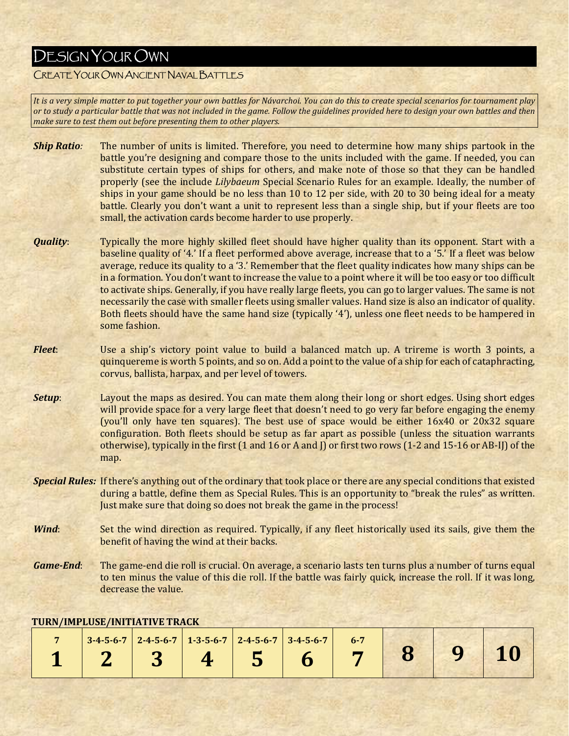# DESIGN YOUR OWN

# CREATE YOUR OWN ANCIENT NAVAL BATTLES

It is a very simple matter to put together your own battles for Návarchoi. You can do this to create special scenarios for tournament play or to study a particular battle that was not included in the game. Follow the guidelines provided here to design your own battles and then *make sure to test them out before presenting them to other players.*

- *Ship Ratio*: The number of units is limited. Therefore, you need to determine how many ships partook in the battle you're designing and compare those to the units included with the game. If needed, you can substitute certain types of ships for others, and make note of those so that they can be handled properly (see the include *Lilybaeum* Special Scenario Rules for an example. Ideally, the number of ships in your game should be no less than  $10$  to  $12$  per side, with  $20$  to  $30$  being ideal for a meaty battle. Clearly you don't want a unit to represent less than a single ship, but if your fleets are too small, the activation cards become harder to use properly.
- *Quality*: Typically the more highly skilled fleet should have higher quality than its opponent. Start with a baseline quality of '4.' If a fleet performed above average, increase that to a '5.' If a fleet was below average, reduce its quality to a '3.' Remember that the fleet quality indicates how many ships can be in a formation. You don't want to increase the value to a point where it will be too easy or too difficult to activate ships. Generally, if you have really large fleets, you can go to larger values. The same is not necessarily the case with smaller fleets using smaller values. Hand size is also an indicator of quality. Both fleets should have the same hand size (typically '4'), unless one fleet needs to be hampered in some fashion.
- *Fleet*: Use a ship's victory point value to build a balanced match up. A trireme is worth 3 points, a quinquereme is worth 5 points, and so on. Add a point to the value of a ship for each of cataphracting, corvus, ballista, harpax, and per level of towers.
- **Setup**: Layout the maps as desired. You can mate them along their long or short edges. Using short edges will provide space for a very large fleet that doesn't need to go very far before engaging the enemy (you'll only have ten squares). The best use of space would be either  $16x40$  or  $20x32$  square configuration. Both fleets should be setup as far apart as possible (unless the situation warrants otherwise), typically in the first  $(1 \text{ and } 16 \text{ or } A \text{ and } I)$  or first two rows  $(1-2 \text{ and } 15-16 \text{ or } AB-I)$  of the map.
- *Special Rules:* If there's anything out of the ordinary that took place or there are any special conditions that existed during a battle, define them as Special Rules. This is an opportunity to "break the rules" as written. Just make sure that doing so does not break the game in the process!
- *Wind*: Set the wind direction as required. Typically, if any fleet historically used its sails, give them the benefit of having the wind at their backs.
- *Game*-End: The game-end die roll is crucial. On average, a scenario lasts ten turns plus a number of turns equal to ten minus the value of this die roll. If the battle was fairly quick, increase the roll. If it was long, decrease the value.

|  | TORRY LITE DOOD/ HULLBELLV D'I REGIN                                                        |  |         |  |  |
|--|---------------------------------------------------------------------------------------------|--|---------|--|--|
|  | $\mid$ 3-4-5-6-7 $\mid$ 2-4-5-6-7 $\mid$ 1-3-5-6-7 $\mid$ 2-4-5-6-7 $\mid$ 3-4-5-6-7 $\mid$ |  | $6 - 7$ |  |  |
|  |                                                                                             |  |         |  |  |
|  |                                                                                             |  |         |  |  |

#### **TURN/IMPLUSE/INITIATIVE TRACK**

**Committee In the Committee of Committee**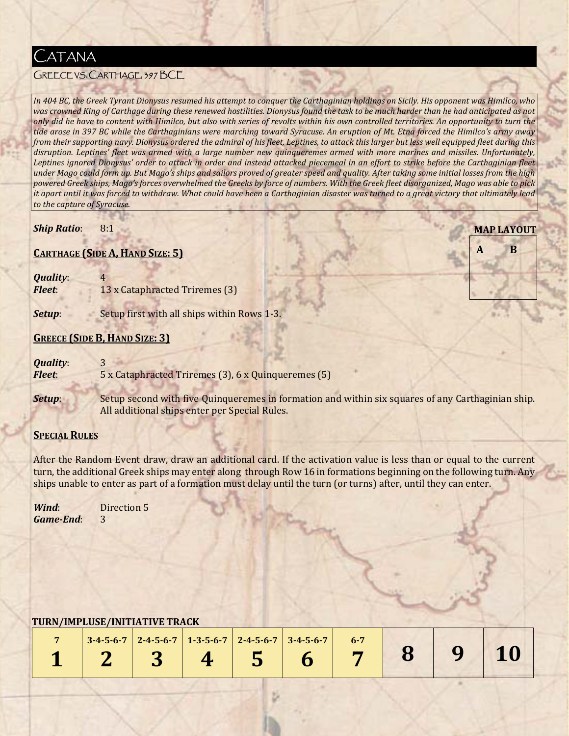

# GREECE VS. CARTHAGE, 397 BCE

In 404 BC, the Greek Tyrant Dionysus resumed his attempt to conquer the Carthaginian holdings on Sicily. His opponent was Himilco, who was crowned King of Carthage during these renewed hostilities. Dionysus found the task to be much harder than he had anticipated as not only did he have to content with Himilco, but also with series of revolts within his own controlled territories. An opportunity to turn the tide arose in 397 BC while the Carthaginians were marching toward Syracuse. An eruption of Mt. Etna forced the Himilco's army away from their supporting navy. Dionysus ordered the admiral of his fleet, Leptines, to attack this larger but less well equipped fleet during this disruption. Leptines' fleet was armed with a large number new quinqueremes armed with more marines and missiles. Unfortunately, Leptines ignored Dionysus' order to attack in order and instead attacked piecemeal in an effort to strike before the Carthaginian fleet under Mago could form up. But Mago's ships and sailors proved of greater speed and quality. After taking some initial losses from the high powered Greek ships, Mago's forces overwhelmed the Greeks by force of numbers. With the Greek fleet disorganized, Mago was able to pick it apart until it was forced to withdraw. What could have been a Carthaginian disaster was turned to a great victory that ultimately lead *to the capture of Syracuse.*

#### *Ship Ratio*: 8:1

#### **CARTHAGE (SIDE A, HAND SIZE: 5)**

| <b>Quality:</b><br><b>Fleet:</b> | 13 x Cataphracted Triremes (3)              |  |  |  |
|----------------------------------|---------------------------------------------|--|--|--|
| Setup:                           | Setup first with all ships within Rows 1-3. |  |  |  |
|                                  | <b>GREECE (SIDE B, HAND SIZE: 3)</b>        |  |  |  |
| <b>Quality:</b>                  | $\mathbf{P}$                                |  |  |  |

**MAP LAYOUT**

**A B**

- *Fleet*: 5 x Cataphracted Triremes (3), 6 x Quinqueremes (5)
- **Setup:** Setup second with five Quinqueremes in formation and within six squares of any Carthaginian ship. All additional ships enter per Special Rules.

#### **SPECIAL RULES**

After the Random Event draw, draw an additional card. If the activation value is less than or equal to the current turn, the additional Greek ships may enter along through Row 16 in formations beginning on the following turn. Any ships unable to enter as part of a formation must delay until the turn (or turns) after, until they can enter.

*Wind*: **Direction 5** *Game‐End*: 3 

|  | $3-4-5-6-7$ 2-4-5-6-7 1-3-5-6-7 2-4-5-6-7 3-4-5-6-7 |  |  |         |      |
|--|-----------------------------------------------------|--|--|---------|------|
|  |                                                     |  |  | 2345678 | 9 10 |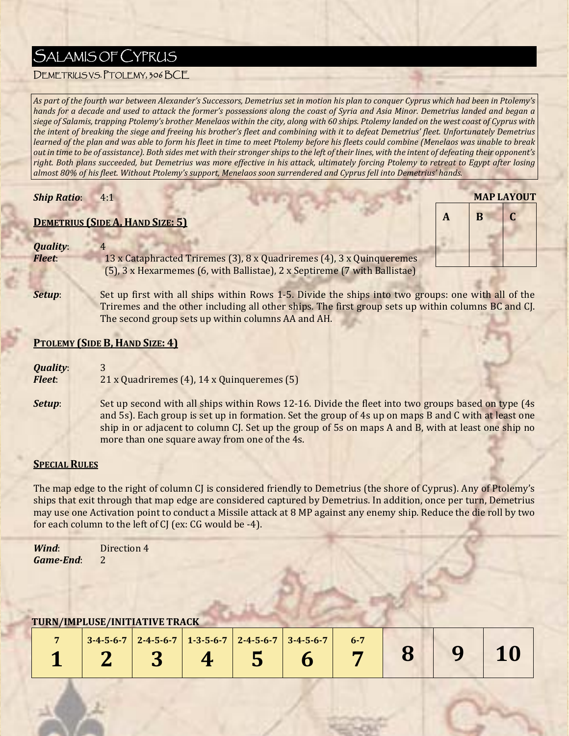# SALAMIS OF CYPRUS

# DEMETRIUS VS. PTOLEMY, 306 BCE

As part of the fourth war between Alexander's Successors, Demetrius set in motion his plan to conquer Cyprus which had been in Ptolemy's hands for a decade and used to attack the former's possessions along the coast of Syria and Asia Minor. Demetrius landed and began a siege of Salamis, trapping Ptolemy's brother Menelaos within the city, along with 60 ships. Ptolemy landed on the west coast of Cyprus with the intent of breaking the siege and freeing his brother's fleet and combining with it to defeat Demetrius' fleet. Unfortunately Demetrius learned of the plan and was able to form his fleet in time to meet Ptolemy before his fleets could combine (Menelaos was unable to break out in time to be of assistance). Both sides met with their stronger ships to the left of their lines, with the intent of defeating their opponent's right. Both plans succeeded, but Demetrius was more effective in his attack, ultimately forcing Ptolemy to retreat to Egypt after losing almost 80% of his fleet. Without Ptolemy's support, Menelaos soon surrendered and Cyprus fell into Demetrius' hands.

#### *Ship Ratio*: 4:1

# **DEMETRIUS (SIDE A, HAND SIZE: 5)**

#### *Quality*: 4

*Fleet*: 13 x Cataphracted Triremes (3), 8 x Quadriremes (4), 3 x Quinqueremes (5),  $3 \times$  Hexarmemes (6, with Ballistae),  $2 \times$  Septireme (7 with Ballistae)

The second group sets up within columns AA and AH.

**Setup**: Set up first with all ships within Rows 1-5. Divide the ships into two groups: one with all of the Triremes and the other including all other ships. The first group sets up within columns BC and CJ.

**MAP LAYOUT**

**A B C**

# **PTOLEMY (SIDE B, HAND SIZE: 4)**

| <b>Quality:</b> |                                             |
|-----------------|---------------------------------------------|
| <b>Fleet:</b>   | 21 x Quadriremes (4), 14 x Quinqueremes (5) |

**Setup:** Set up second with all ships within Rows 12-16. Divide the fleet into two groups based on type (4s) and 5s). Each group is set up in formation. Set the group of 4s up on maps B and C with at least one ship in or adjacent to column  $C$ . Set up the group of 5s on maps A and B, with at least one ship no more than one square away from one of the 4s.

#### **SPECIAL RULES**

The map edge to the right of column C is considered friendly to Demetrius (the shore of Cyprus). Any of Ptolemy's ships that exit through that map edge are considered captured by Demetrius. In addition, once per turn, Demetrius may use one Activation point to conduct a Missile attack at 8 MP against any enemy ship. Reduce the die roll by two for each column to the left of  $CJ$  (ex:  $CG$  would be -4).

*Wind*: **Direction 4** *Game‐End*: 2 

the property of the property of the

|  | $3-4-5-6-7$ 2-4-5-6-7 1-3-5-6-7 2-4-5-6-7 3-4-5-6-7 |  | $6 - 7$ |  |  |
|--|-----------------------------------------------------|--|---------|--|--|
|  |                                                     |  |         |  |  |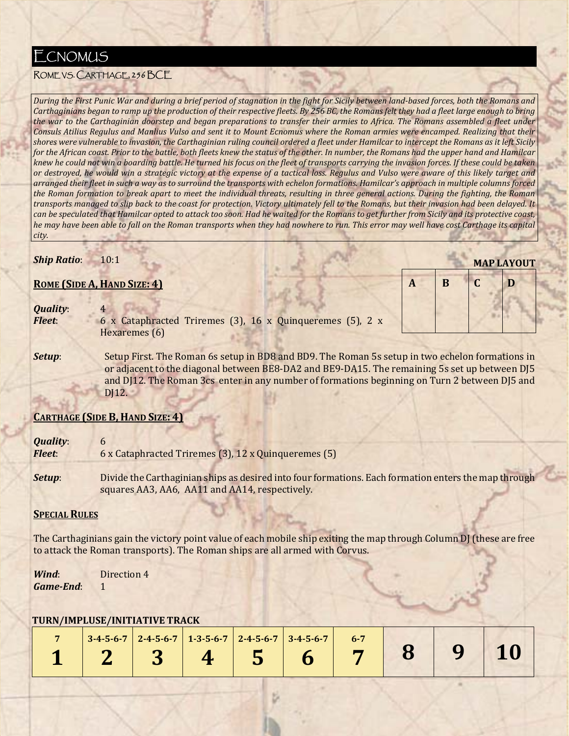# **ECNOMUS**

# ROME VS. CARTHAGE, 256 BCE

During the First Punic War and during a brief period of stagnation in the fight for Sicily between land-based forces, both the Romans and Carthaginians began to ramp up the production of their respective fleets. By 256 BC, the Romans felt they had a fleet large enough to bring the war to the Carthaginian doorstep and began preparations to transfer their armies to Africa. The Romans assembled a fleet under Consuls Atilius Regulus and Manlius Vulso and sent it to Mount Ecnomus where the Roman armies were encamped. Realizing that their shores were vulnerable to invasion, the Carthaginian ruling council ordered a fleet under Hamilcar to intercept the Romans as it left Sicily for the African coast. Prior to the battle, both fleets knew the status of the other. In number, the Romans had the upper hand and Hamilcar knew he could not win a boarding battle. He turned his focus on the fleet of transports carrying the invasion forces. If these could be taken or destroyed, he would win a strategic victory at the expense of a tactical loss. Regulus and Vulso were aware of this likely target and arranged their fleet in such a way as to surround the transports with echelon formations. Hamilcar's approach in multiple columns forced the Roman formation to break apart to meet the individual threats, resulting in three general actions. During the fighting, the Roman transports managed to slip back to the coast for protection. Victory ultimately fell to the Romans, but their invasion had been delayed. It can be speculated that Hamilcar opted to attack too soon. Had he waited for the Romans to get further from Sicily and its protective coast, he may have been able to fall on the Roman transports when they had nowhere to run. This error may well have cost Carthage its capital *city.*

# *Ship Ratio***:** 10:1

#### **ROME (SIDE A, HAND SIZE: 4)**

| <b>Quality:</b><br><b>Fleet:</b> | Hexaremes (6) | 6 x Cataphracted Triremes (3), 16 x Quinqueremes (5), 2 x                                     |  |
|----------------------------------|---------------|-----------------------------------------------------------------------------------------------|--|
| C <sub>of</sub>                  |               | Setup First The Deman 6s setup in RD9 and RD9 The Deman 5s setup in two espelen fermations in |  |

**MAP LAYOUT**

**A B C D**

**Setup**: Setup First. The Roman 6s setup in BD8 and BD9. The Roman 5s setup in two echelon formations in or adjacent to the diagonal between BE8-DA2 and BE9-DA15. The remaining 5s set up between DJ5 and DJ12. The Roman 3cs enter in any number of formations beginning on Turn 2 between DJ5 and DJ12.

# **CARTHAGE (SIDE B, HAND SIZE: 4)**

| <b>Quality:</b> | b                                                                                                                                                      |
|-----------------|--------------------------------------------------------------------------------------------------------------------------------------------------------|
| <b>Fleet:</b>   | 6 x Cataphracted Triremes (3), 12 x Quinqueremes (5)                                                                                                   |
| Setup:          | Divide the Carthaginian ships as desired into four formations. Each formation enters the map through<br>squares AA3, AA6, AA11 and AA14, respectively. |

# **SPECIAL RULES**

The Carthaginians gain the victory point value of each mobile ship exiting the map through Column DJ (these are free to attack the Roman transports). The Roman ships are all armed with Corvus.

*Wind*: **Direction** 4 *Game‐End*: 1 

|  | $3-4-5-6-7$ 2-4-5-6-7 1-3-5-6-7 2-4-5-6-7 3-4-5-6-7 |  |  |                                                   |  |
|--|-----------------------------------------------------|--|--|---------------------------------------------------|--|
|  |                                                     |  |  | $1 \t 2 \t 3 \t 4 \t 5 \t 6 \t 7 \t 8 \t 9 \t 10$ |  |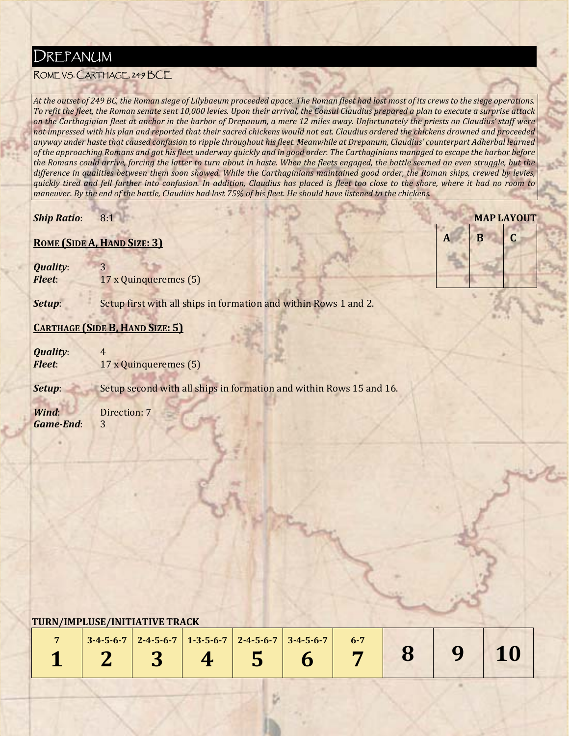# DREPANUM

# ROME VS. CARTHAGE, 249 BCE

At the outset of 249 BC, the Roman siege of Lilybaeum proceeded apace. The Roman fleet had lost most of its crews to the siege operations. To refit the fleet, the Roman senate sent 10,000 levies. Upon their arrival, the Consul Claudius prepared a plan to execute a surprise attack on the Carthaginian fleet at anchor in the harbor of Drepanum, a mere 12 miles away. Unfortunately the priests on Claudius' staff were not impressed with his plan and reported that their sacred chickens would not eat. Claudius ordered the chickens drowned and proceeded anyway under haste that caused confusion to ripple throughout his fleet. Meanwhile at Drepanum, Claudius' counterpart Adherbal learned of the approaching Romans and got his fleet underway quickly and in good order. The Carthaginians managed to escape the harbor before the Romans could arrive, forcing the latter to turn about in haste. When the fleets engaged, the battle seemed an even struggle, but the difference in qualities between them soon showed. While the Carthaginians maintained good order, the Roman ships, crewed by levies, quickly tired and fell further into confusion. In addition, Claudius has placed is fleet too close to the shore, where it had no room to maneuver. By the end of the battle, Claudius had lost 75% of his fleet. He should have listened to the chickens.

**MAP LAYOUT**

**A B C**

*Ship Ratio*: 8:1 

# **ROME (SIDE A, HAND SIZE: 3)**

*Quality*: 3 *Fleet*: **17** x Quinqueremes (5)

**Setup:** Setup first with all ships in formation and within Rows 1 and 2.

# **CARTHAGE (SIDE B, HAND SIZE: 5)**

*Quality:* 4 *Fleet***: 17** x Quinqueremes (5)

**Setup:** Setup second with all ships in formation and within Rows 15 and 16.

*Wind*: **Direction: 7** *Game‐End*: 3 

 

|  | $\vert$ 3-4-5-6-7 $\vert$ 2-4-5-6-7 $\vert$ 1-3-5-6-7 $\vert$ 2-4-5-6-7 $\vert$ 3-4-5-6-7 $\vert$ 6-7 |  |  |  |  |
|--|-------------------------------------------------------------------------------------------------------|--|--|--|--|
|  |                                                                                                       |  |  |  |  |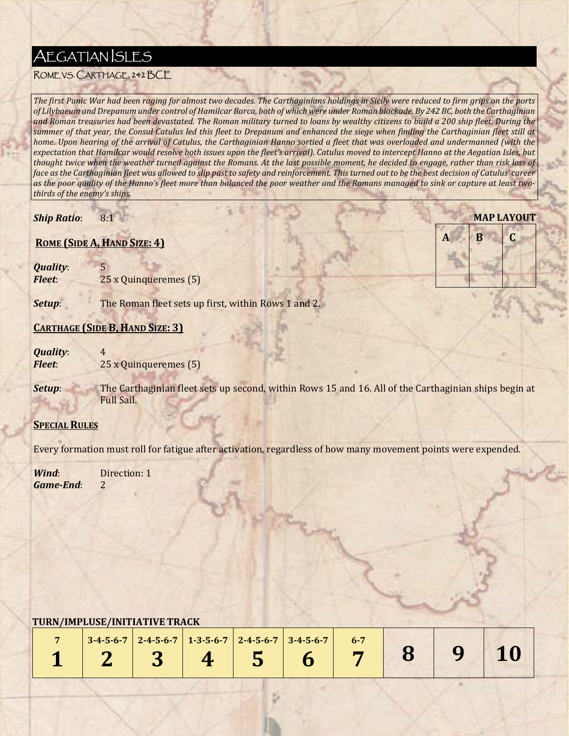# **AEGATIAN SLES**

# ROME VS. CARTHAGE, 242 BCE

The first Punic War had been raging for almost two decades. The Carthaginians holdings in Sicily were reduced to firm grips on the ports of Lilybaeum and Drepanum under control of Hamilcar Barca, both of which were under Roman blockade. By 242 BC, both the Carthaginian and Roman treasuries had been devastated. The Roman military turned to loans by wealthy citizens to build a 200 ship fleet. During the summer of that year, the Consul Catulus led this fleet to Drepanum and enhanced the siege when finding the Carthaginian fleet still at home. Upon hearing of the arrival of Catulus, the Carthaginian Hanno sortied a fleet that was overloaded and undermanned (with the expectation that Hamilcar would resolve both issues upon the fleet's arrival). Catulus moved to intercept Hanno at the Aegatian Isles, but thought twice when the weather turned against the Romans. At the last possible moment, he decided to engage, rather than risk loss of face as the Carthaginian fleet was allowed to slip past to safety and reinforcement. This turned out to be the best decision of Catulus' career as the poor quality of the Hanno's fleet more than balanced the poor weather and the Romans managed to sink or capture at least two*thirds of the enemy's ships.*

**MAP LAYOUT**

**A B C**

*Ship Ratio*: 8:1 

# **ROME (SIDE A, HAND SIZE: 4)**

*Quality:* 5 *Fleet***:** 25 x Quinqueremes (5)

**Setup:** The Roman fleet sets up first, within Rows 1 and 2.

# **CARTHAGE (SIDE B, HAND SIZE: 3)**

*Quality*: 4<br>*Fleet*: 2 *Z5* x Quinqueremes (5)

**Setup:** The Carthaginian fleet sets up second, within Rows 15 and 16. All of the Carthaginian ships begin at Full Sail.

# **SPECIAL RULES**

Every formation must roll for fatigue after activation, regardless of how many movement points were expended.

*Wind*: **Direction:** 1 *Game‐End*: 2 

|  | $3-4-5-6-7$ 2-4-5-6-7 1-3-5-6-7 2-4-5-6-7 3-4-5-6-7 |  | $6 - 7$ |  |  |
|--|-----------------------------------------------------|--|---------|--|--|
|  |                                                     |  |         |  |  |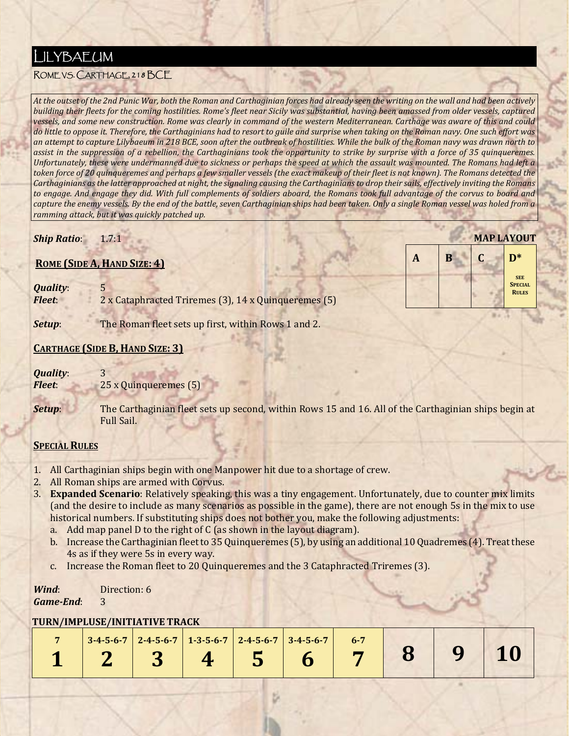# LILYBAEUM

# ROME VS. CARTHAGE, 218 BCE

At the outset of the 2nd Punic War, both the Roman and Carthaginian forces had already seen the writing on the wall and had been actively building their fleets for the coming hostilities. Rome's fleet near Sicily was substantial, having been amassed from older vessels, captured vessels, and some new construction. Rome was clearly in command of the western Mediterranean. Carthage was aware of this and could do little to oppose it. Therefore, the Carthaginians had to resort to guile and surprise when taking on the Roman navy. One such effort was an attempt to capture Lilybaeum in 218 BCE, soon after the outbreak of hostilities. While the bulk of the Roman navy was drawn north to assist in the suppression of a rebellion, the Carthaginians took the opportunity to strike by surprise with a force of 35 quinqueremes. Unfortunately, these were undermanned due to sickness or perhaps the speed at which the assault was mounted. The Romans had left a token force of 20 quinqueremes and perhaps a few smaller vessels (the exact makeup of their fleet is not known). The Romans detected the Carthaginians as the latter approached at night, the signaling causing the Carthaginians to drop their sails, effectively inviting the Romans to engage. And engage they did. With full complements of soldiers aboard, the Romans took full advantage of the corvus to board and capture the enemy vessels. By the end of the battle, seven Carthaginian ships had been taken. Only a single Roman vessel was holed from a *ramming attack, but it was quickly patched up.*

**MAP LAYOUT**

**SEE SPECIAL RULES**

**A B C D\***

# *Ship Ratio*: 1.7:1

# **ROME (SIDE A, HAND SIZE: 4)**

**Quality:** *Fleet*: **2** x Cataphracted Triremes (3), 14 x Quinqueremes (5)

**Setup**: The Roman fleet sets up first, within Rows 1 and 2.

# **CARTHAGE (SIDE B, HAND SIZE: 3)**

*Quality:* 3

*Fleet***:** 25 x Quinqueremes (5)

**Setup:** The Carthaginian fleet sets up second, within Rows 15 and 16. All of the Carthaginian ships begin at Full Sail.

# **SPECIAL RULES**

- 1. All Carthaginian ships begin with one Manpower hit due to a shortage of crew.
- 2. All Roman ships are armed with Corvus.
- **3. Expanded Scenario**: Relatively speaking, this was a tiny engagement. Unfortunately, due to counter mix limits (and the desire to include as many scenarios as possible in the game), there are not enough 5s in the mix to use historical numbers. If substituting ships does not bother you, make the following adjustments:
	- a. Add map panel D to the right of  $C$  (as shown in the layout diagram).
	- b. Increase the Carthaginian fleet to 35 Quinqueremes (5), by using an additional 10 Quadremes (4). Treat these 4s as if they were 5s in every way.
	- c. Increase the Roman fleet to 20 Quinqueremes and the 3 Cataphracted Triremes (3).

#### *Wind*: **Direction:** 6 *Game‐End*: 3

|  |  | $3-4-5-6-7$ 2-4-5-6-7 1-3-5-6-7 2-4-5-6-7 3-4-5-6-7 | $6 - 7$ |  |  |
|--|--|-----------------------------------------------------|---------|--|--|
|  |  |                                                     |         |  |  |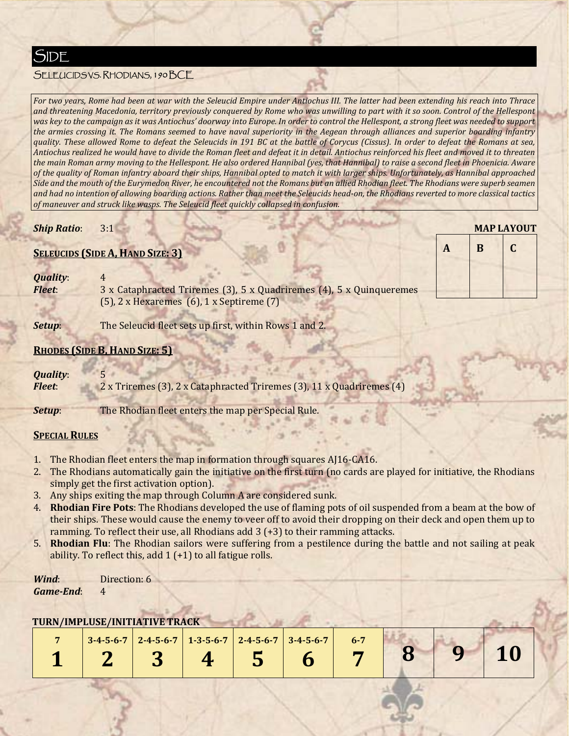# SELEUCIDS VS. RHODIANS, 190 BCE

For two years, Rome had been at war with the Seleucid Empire under Antiochus III. The latter had been extending his reach into Thrace and threatening Macedonia, territory previously conquered by Rome who was unwilling to part with it so soon. Control of the Hellespont was key to the campaign as it was Antiochus' doorway into Europe. In order to control the Hellespont, a strong fleet was needed to support the armies crossing it. The Romans seemed to have naval superiority in the Aegean through alliances and superior boarding infantry quality. These allowed Rome to defeat the Seleucids in 191 BC at the battle of Corycus (Cissus). In order to defeat the Romans at sea, Antiochus realized he would have to divide the Roman fleet and defeat it in detail. Antiochus reinforced his fleet and moved it to threaten the main Roman army moving to the Hellespont. He also ordered Hannibal (yes, that Hannibal) to raise a second fleet in Phoenicia. Aware of the quality of Roman infantry aboard their ships, Hannibal opted to match it with larger ships. Unfortunately, as Hannibal approached Side and the mouth of the Eurymedon River, he encountered not the Romans but an allied Rhodian fleet. The Rhodians were superb seamen and had no intention of allowing boarding actions. Rather than meet the Seleucids head-on, the Rhodians reverted to more classical tactics *of maneuver and struck like wasps. The Seleucid fleet quickly collapsed in confusion.*

#### *Ship Ratio*: 3:1

#### **SELEUCIDS (SIDE A, HAND SIZE: 3)**

| <b>Quality:</b> |                                                                      |
|-----------------|----------------------------------------------------------------------|
| <b>Fleet:</b>   | 3 x Cataphracted Triremes (3), 5 x Quadriremes (4), 5 x Quinqueremes |
|                 | $(5)$ , 2 x Hexaremes $(6)$ , 1 x Septireme $(7)$                    |

**Setup:** The Seleucid fleet sets up first, within Rows 1 and 2.

#### **RHODES (SIDE B, HAND SIZE: 5)**

# *Quality*: 5

*Fleet***:** 2 x Triremes (3), 2 x Cataphracted Triremes (3), 11 x Quadriremes (4)

**Setup**: The Rhodian fleet enters the map per Special Rule.

#### **SPECIAL RULES**

- 1. The Rhodian fleet enters the map in formation through squares AJ16-CA16.
- 2. The Rhodians automatically gain the initiative on the first turn (no cards are played for initiative, the Rhodians simply get the first activation option).
- 3. Any ships exiting the map through Column A are considered sunk.
- 4. **Rhodian Fire Pots**: The Rhodians developed the use of flaming pots of oil suspended from a beam at the bow of their ships. These would cause the enemy to veer off to avoid their dropping on their deck and open them up to ramming. To reflect their use, all Rhodians add  $3 (+3)$  to their ramming attacks.
- 5. **Rhodian Flu**: The Rhodian sailors were suffering from a pestilence during the battle and not sailing at peak ability. To reflect this, add  $1 (+1)$  to all fatigue rolls.

*Wind*: **Direction: 6** *Game‐End*: 4 

|  | $3-4-5-6-7$ 2-4-5-6-7 1-3-5-6-7 2-4-5-6-7 3-4-5-6-7 |  | $6 - 7$ |  |  |
|--|-----------------------------------------------------|--|---------|--|--|
|  |                                                     |  |         |  |  |

|   | <b>MAP LAYOUT</b> |   |   |  |  |  |  |  |  |  |  |
|---|-------------------|---|---|--|--|--|--|--|--|--|--|
| A |                   | B | C |  |  |  |  |  |  |  |  |
|   |                   |   |   |  |  |  |  |  |  |  |  |
|   |                   |   |   |  |  |  |  |  |  |  |  |